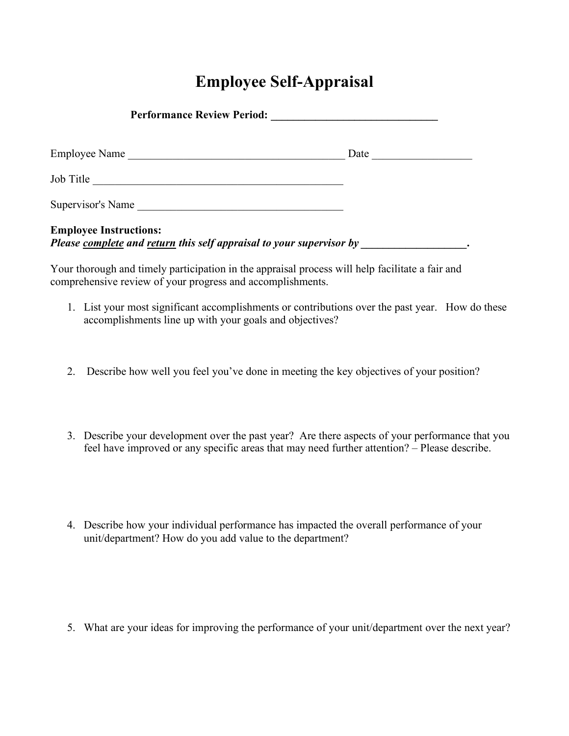## **Employee Self-Appraisal**

| Performance Review Period:                                                                                                                   |      |  |
|----------------------------------------------------------------------------------------------------------------------------------------------|------|--|
| Employee Name                                                                                                                                | Date |  |
| Job Title                                                                                                                                    |      |  |
| Supervisor's Name                                                                                                                            |      |  |
| <b>Employee Instructions:</b><br>Please <u>complete</u> and <u>return</u> this self appraisal to your supervisor by <b>particular entity</b> |      |  |

Your thorough and timely participation in the appraisal process will help facilitate a fair and comprehensive review of your progress and accomplishments.

- 1. List your most significant accomplishments or contributions over the past year. How do these accomplishments line up with your goals and objectives?
- 2. Describe how well you feel you've done in meeting the key objectives of your position?
- 3. Describe your development over the past year? Are there aspects of your performance that you feel have improved or any specific areas that may need further attention? – Please describe.
- 4. Describe how your individual performance has impacted the overall performance of your unit/department? How do you add value to the department?

5. What are your ideas for improving the performance of your unit/department over the next year?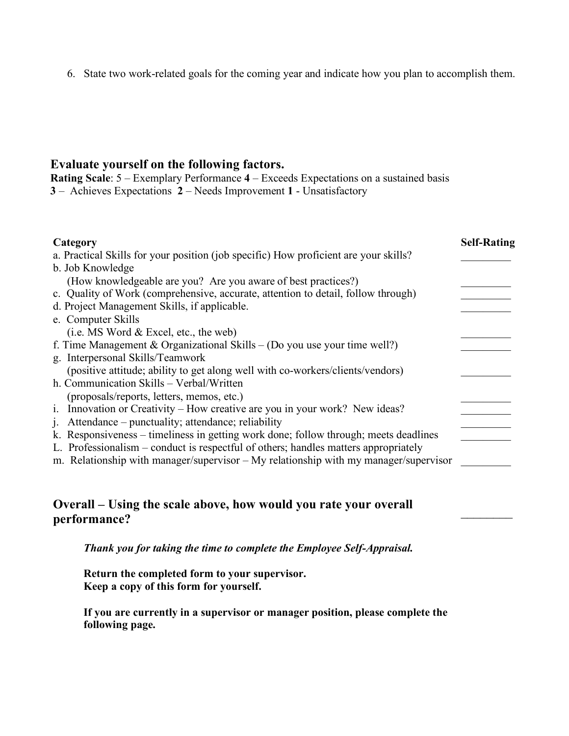6. State two work-related goals for the coming year and indicate how you plan to accomplish them.

## **Evaluate yourself on the following factors.**

**Rating Scale**: 5 – Exemplary Performance **4** – Exceeds Expectations on a sustained basis **3** – Achieves Expectations **2** – Needs Improvement **1** - Unsatisfactory

| Category                                                                             | <b>Self-Rating</b> |
|--------------------------------------------------------------------------------------|--------------------|
| a. Practical Skills for your position (job specific) How proficient are your skills? |                    |
| b. Job Knowledge                                                                     |                    |
| (How knowledgeable are you? Are you aware of best practices?)                        |                    |
| c. Quality of Work (comprehensive, accurate, attention to detail, follow through)    |                    |
| d. Project Management Skills, if applicable.                                         |                    |
| e. Computer Skills                                                                   |                    |
| $(i.e. MS Word & Excel, etc., the web)$                                              |                    |
| f. Time Management & Organizational Skills – (Do you use your time well?)            |                    |
| g. Interpersonal Skills/Teamwork                                                     |                    |
| (positive attitude; ability to get along well with co-workers/clients/vendors)       |                    |
| h. Communication Skills – Verbal/Written                                             |                    |
| (proposals/reports, letters, memos, etc.)                                            |                    |
| i. Innovation or Creativity – How creative are you in your work? New ideas?          |                    |
| Attendance – punctuality; attendance; reliability<br>1.                              |                    |
| k. Responsiveness – timeliness in getting work done; follow through; meets deadlines |                    |
| L. Professionalism – conduct is respectful of others; handles matters appropriately  |                    |
| m. Relationship with manager/supervisor – My relationship with my manager/supervisor |                    |
|                                                                                      |                    |

## **Overall – Using the scale above, how would you rate your overall**  performance?<br>performance?

*Thank you for taking the time to complete the Employee Self-Appraisal.* 

**Return the completed form to your supervisor. Keep a copy of this form for yourself.**

**If you are currently in a supervisor or manager position, please complete the following page.**